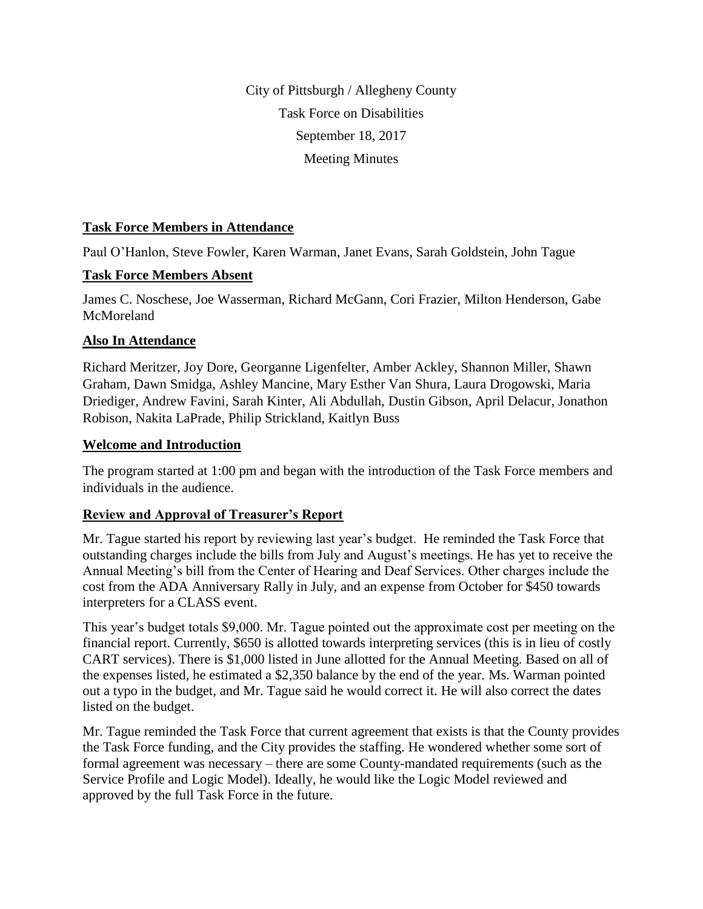City of Pittsburgh / Allegheny County Task Force on Disabilities September 18, 2017 Meeting Minutes

#### **Task Force Members in Attendance**

Paul O'Hanlon, Steve Fowler, Karen Warman, Janet Evans, Sarah Goldstein, John Tague

### **Task Force Members Absent**

James C. Noschese, Joe Wasserman, Richard McGann, Cori Frazier, Milton Henderson, Gabe McMoreland

# **Also In Attendance**

Richard Meritzer, Joy Dore, Georganne Ligenfelter, Amber Ackley, Shannon Miller, Shawn Graham, Dawn Smidga, Ashley Mancine, Mary Esther Van Shura, Laura Drogowski, Maria Driediger, Andrew Favini, Sarah Kinter, Ali Abdullah, Dustin Gibson, April Delacur, Jonathon Robison, Nakita LaPrade, Philip Strickland, Kaitlyn Buss

### **Welcome and Introduction**

The program started at 1:00 pm and began with the introduction of the Task Force members and individuals in the audience.

# **Review and Approval of Treasurer's Report**

Mr. Tague started his report by reviewing last year's budget. He reminded the Task Force that outstanding charges include the bills from July and August's meetings. He has yet to receive the Annual Meeting's bill from the Center of Hearing and Deaf Services. Other charges include the cost from the ADA Anniversary Rally in July, and an expense from October for \$450 towards interpreters for a CLASS event.

This year's budget totals \$9,000. Mr. Tague pointed out the approximate cost per meeting on the financial report. Currently, \$650 is allotted towards interpreting services (this is in lieu of costly CART services). There is \$1,000 listed in June allotted for the Annual Meeting. Based on all of the expenses listed, he estimated a \$2,350 balance by the end of the year. Ms. Warman pointed out a typo in the budget, and Mr. Tague said he would correct it. He will also correct the dates listed on the budget.

Mr. Tague reminded the Task Force that current agreement that exists is that the County provides the Task Force funding, and the City provides the staffing. He wondered whether some sort of formal agreement was necessary – there are some County-mandated requirements (such as the Service Profile and Logic Model). Ideally, he would like the Logic Model reviewed and approved by the full Task Force in the future.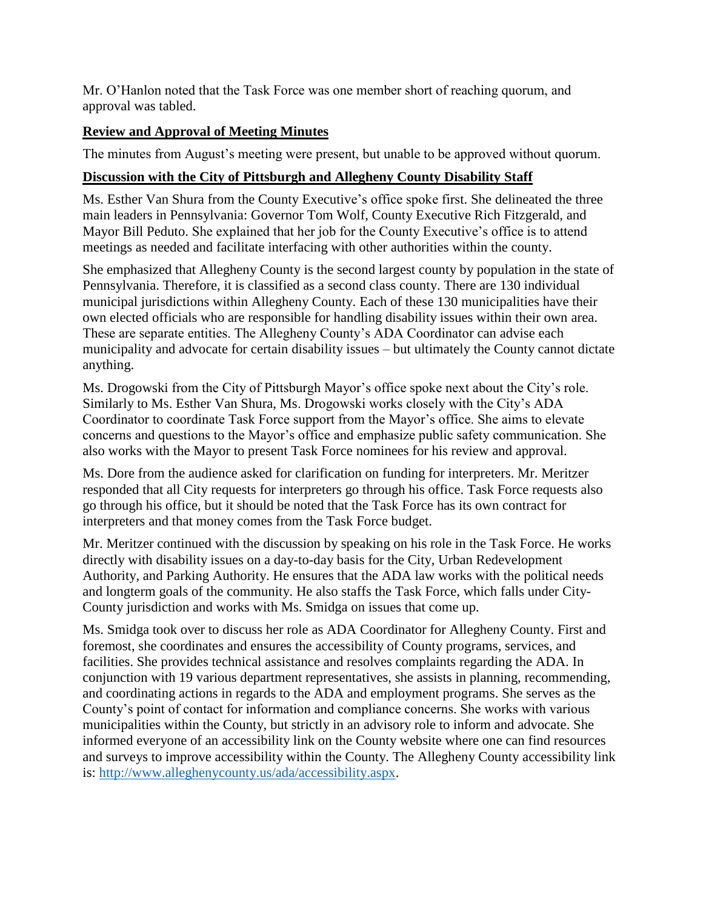Mr. O'Hanlon noted that the Task Force was one member short of reaching quorum, and approval was tabled.

### **Review and Approval of Meeting Minutes**

The minutes from August's meeting were present, but unable to be approved without quorum.

### **Discussion with the City of Pittsburgh and Allegheny County Disability Staff**

Ms. Esther Van Shura from the County Executive's office spoke first. She delineated the three main leaders in Pennsylvania: Governor Tom Wolf, County Executive Rich Fitzgerald, and Mayor Bill Peduto. She explained that her job for the County Executive's office is to attend meetings as needed and facilitate interfacing with other authorities within the county.

She emphasized that Allegheny County is the second largest county by population in the state of Pennsylvania. Therefore, it is classified as a second class county. There are 130 individual municipal jurisdictions within Allegheny County. Each of these 130 municipalities have their own elected officials who are responsible for handling disability issues within their own area. These are separate entities. The Allegheny County's ADA Coordinator can advise each municipality and advocate for certain disability issues – but ultimately the County cannot dictate anything.

Ms. Drogowski from the City of Pittsburgh Mayor's office spoke next about the City's role. Similarly to Ms. Esther Van Shura, Ms. Drogowski works closely with the City's ADA Coordinator to coordinate Task Force support from the Mayor's office. She aims to elevate concerns and questions to the Mayor's office and emphasize public safety communication. She also works with the Mayor to present Task Force nominees for his review and approval.

Ms. Dore from the audience asked for clarification on funding for interpreters. Mr. Meritzer responded that all City requests for interpreters go through his office. Task Force requests also go through his office, but it should be noted that the Task Force has its own contract for interpreters and that money comes from the Task Force budget.

Mr. Meritzer continued with the discussion by speaking on his role in the Task Force. He works directly with disability issues on a day-to-day basis for the City, Urban Redevelopment Authority, and Parking Authority. He ensures that the ADA law works with the political needs and longterm goals of the community. He also staffs the Task Force, which falls under City-County jurisdiction and works with Ms. Smidga on issues that come up.

Ms. Smidga took over to discuss her role as ADA Coordinator for Allegheny County. First and foremost, she coordinates and ensures the accessibility of County programs, services, and facilities. She provides technical assistance and resolves complaints regarding the ADA. In conjunction with 19 various department representatives, she assists in planning, recommending, and coordinating actions in regards to the ADA and employment programs. She serves as the County's point of contact for information and compliance concerns. She works with various municipalities within the County, but strictly in an advisory role to inform and advocate. She informed everyone of an accessibility link on the County website where one can find resources and surveys to improve accessibility within the County. The Allegheny County accessibility link is: [http://www.alleghenycounty.us/ada/accessibility.aspx.](http://www.alleghenycounty.us/ada/accessibility.aspx)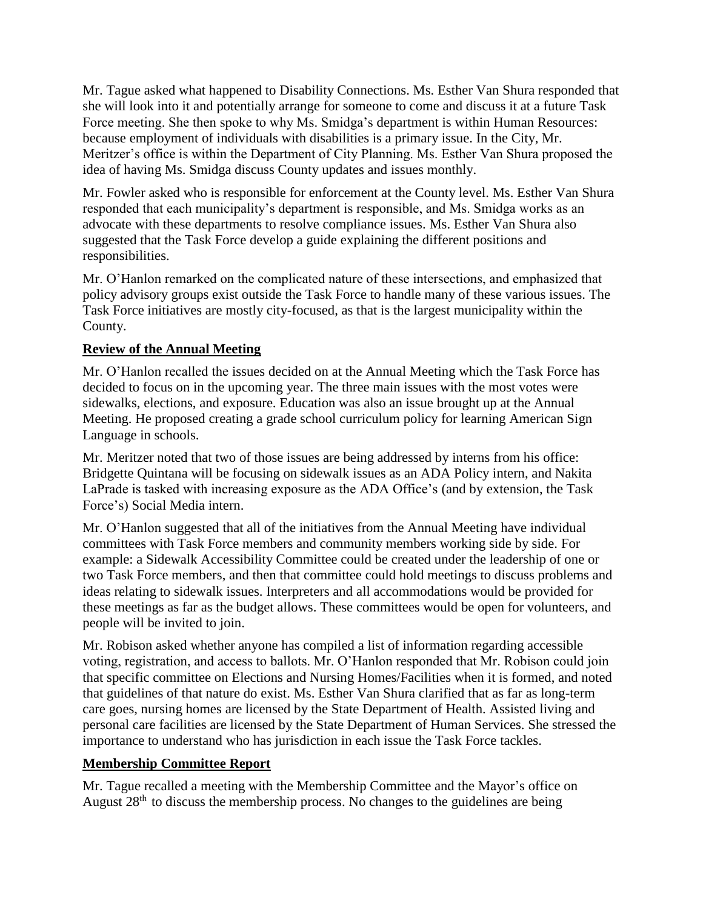Mr. Tague asked what happened to Disability Connections. Ms. Esther Van Shura responded that she will look into it and potentially arrange for someone to come and discuss it at a future Task Force meeting. She then spoke to why Ms. Smidga's department is within Human Resources: because employment of individuals with disabilities is a primary issue. In the City, Mr. Meritzer's office is within the Department of City Planning. Ms. Esther Van Shura proposed the idea of having Ms. Smidga discuss County updates and issues monthly.

Mr. Fowler asked who is responsible for enforcement at the County level. Ms. Esther Van Shura responded that each municipality's department is responsible, and Ms. Smidga works as an advocate with these departments to resolve compliance issues. Ms. Esther Van Shura also suggested that the Task Force develop a guide explaining the different positions and responsibilities.

Mr. O'Hanlon remarked on the complicated nature of these intersections, and emphasized that policy advisory groups exist outside the Task Force to handle many of these various issues. The Task Force initiatives are mostly city-focused, as that is the largest municipality within the County.

#### **Review of the Annual Meeting**

Mr. O'Hanlon recalled the issues decided on at the Annual Meeting which the Task Force has decided to focus on in the upcoming year. The three main issues with the most votes were sidewalks, elections, and exposure. Education was also an issue brought up at the Annual Meeting. He proposed creating a grade school curriculum policy for learning American Sign Language in schools.

Mr. Meritzer noted that two of those issues are being addressed by interns from his office: Bridgette Quintana will be focusing on sidewalk issues as an ADA Policy intern, and Nakita LaPrade is tasked with increasing exposure as the ADA Office's (and by extension, the Task Force's) Social Media intern.

Mr. O'Hanlon suggested that all of the initiatives from the Annual Meeting have individual committees with Task Force members and community members working side by side. For example: a Sidewalk Accessibility Committee could be created under the leadership of one or two Task Force members, and then that committee could hold meetings to discuss problems and ideas relating to sidewalk issues. Interpreters and all accommodations would be provided for these meetings as far as the budget allows. These committees would be open for volunteers, and people will be invited to join.

Mr. Robison asked whether anyone has compiled a list of information regarding accessible voting, registration, and access to ballots. Mr. O'Hanlon responded that Mr. Robison could join that specific committee on Elections and Nursing Homes/Facilities when it is formed, and noted that guidelines of that nature do exist. Ms. Esther Van Shura clarified that as far as long-term care goes, nursing homes are licensed by the State Department of Health. Assisted living and personal care facilities are licensed by the State Department of Human Services. She stressed the importance to understand who has jurisdiction in each issue the Task Force tackles.

# **Membership Committee Report**

Mr. Tague recalled a meeting with the Membership Committee and the Mayor's office on August  $28<sup>th</sup>$  to discuss the membership process. No changes to the guidelines are being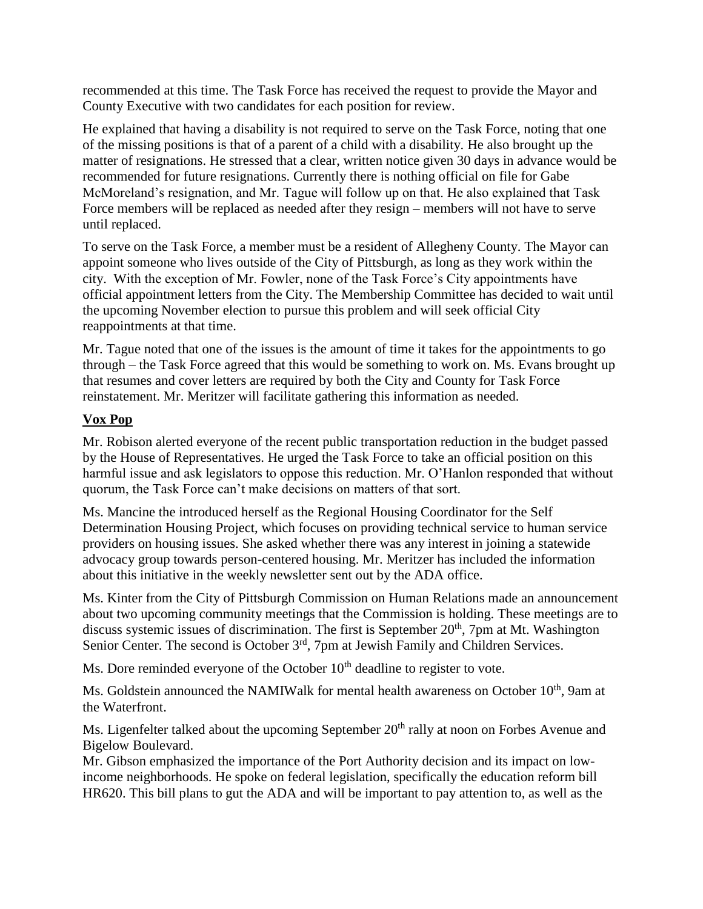recommended at this time. The Task Force has received the request to provide the Mayor and County Executive with two candidates for each position for review.

He explained that having a disability is not required to serve on the Task Force, noting that one of the missing positions is that of a parent of a child with a disability. He also brought up the matter of resignations. He stressed that a clear, written notice given 30 days in advance would be recommended for future resignations. Currently there is nothing official on file for Gabe McMoreland's resignation, and Mr. Tague will follow up on that. He also explained that Task Force members will be replaced as needed after they resign – members will not have to serve until replaced.

To serve on the Task Force, a member must be a resident of Allegheny County. The Mayor can appoint someone who lives outside of the City of Pittsburgh, as long as they work within the city. With the exception of Mr. Fowler, none of the Task Force's City appointments have official appointment letters from the City. The Membership Committee has decided to wait until the upcoming November election to pursue this problem and will seek official City reappointments at that time.

Mr. Tague noted that one of the issues is the amount of time it takes for the appointments to go through – the Task Force agreed that this would be something to work on. Ms. Evans brought up that resumes and cover letters are required by both the City and County for Task Force reinstatement. Mr. Meritzer will facilitate gathering this information as needed.

#### **Vox Pop**

Mr. Robison alerted everyone of the recent public transportation reduction in the budget passed by the House of Representatives. He urged the Task Force to take an official position on this harmful issue and ask legislators to oppose this reduction. Mr. O'Hanlon responded that without quorum, the Task Force can't make decisions on matters of that sort.

Ms. Mancine the introduced herself as the Regional Housing Coordinator for the Self Determination Housing Project, which focuses on providing technical service to human service providers on housing issues. She asked whether there was any interest in joining a statewide advocacy group towards person-centered housing. Mr. Meritzer has included the information about this initiative in the weekly newsletter sent out by the ADA office.

Ms. Kinter from the City of Pittsburgh Commission on Human Relations made an announcement about two upcoming community meetings that the Commission is holding. These meetings are to discuss systemic issues of discrimination. The first is September 20<sup>th</sup>, 7pm at Mt. Washington Senior Center. The second is October 3<sup>rd</sup>, 7pm at Jewish Family and Children Services.

Ms. Dore reminded everyone of the October  $10<sup>th</sup>$  deadline to register to vote.

Ms. Goldstein announced the NAMIWalk for mental health awareness on October 10<sup>th</sup>, 9am at the Waterfront.

Ms. Ligenfelter talked about the upcoming September 20<sup>th</sup> rally at noon on Forbes Avenue and Bigelow Boulevard.

Mr. Gibson emphasized the importance of the Port Authority decision and its impact on lowincome neighborhoods. He spoke on federal legislation, specifically the education reform bill HR620. This bill plans to gut the ADA and will be important to pay attention to, as well as the